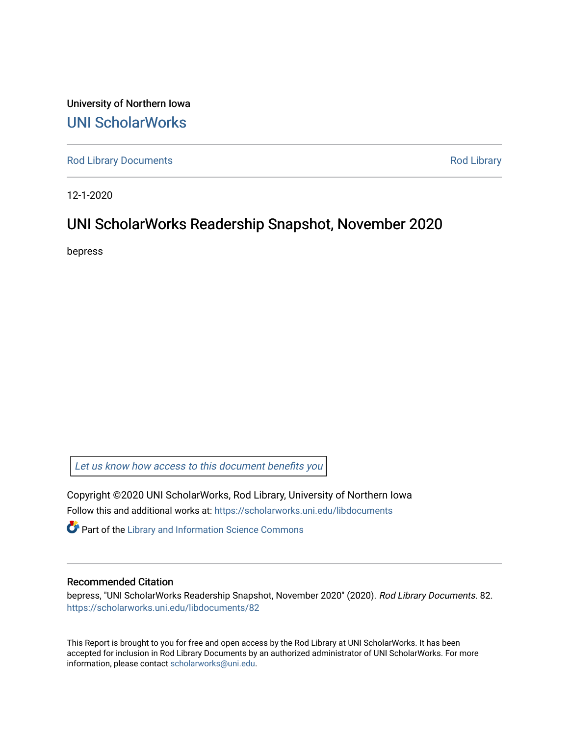University of Northern Iowa [UNI ScholarWorks](https://scholarworks.uni.edu/) 

[Rod Library Documents](https://scholarworks.uni.edu/libdocuments) **[Rod Library](https://scholarworks.uni.edu/lib) Rod Library** 

12-1-2020

### UNI ScholarWorks Readership Snapshot, November 2020

bepress

Let us know how access to this document benefits you

Copyright ©2020 UNI ScholarWorks, Rod Library, University of Northern Iowa Follow this and additional works at: [https://scholarworks.uni.edu/libdocuments](https://scholarworks.uni.edu/libdocuments?utm_source=scholarworks.uni.edu%2Flibdocuments%2F82&utm_medium=PDF&utm_campaign=PDFCoverPages) 

**Part of the Library and Information Science Commons** 

#### Recommended Citation

bepress, "UNI ScholarWorks Readership Snapshot, November 2020" (2020). Rod Library Documents. 82. [https://scholarworks.uni.edu/libdocuments/82](https://scholarworks.uni.edu/libdocuments/82?utm_source=scholarworks.uni.edu%2Flibdocuments%2F82&utm_medium=PDF&utm_campaign=PDFCoverPages)

This Report is brought to you for free and open access by the Rod Library at UNI ScholarWorks. It has been accepted for inclusion in Rod Library Documents by an authorized administrator of UNI ScholarWorks. For more information, please contact [scholarworks@uni.edu.](mailto:scholarworks@uni.edu)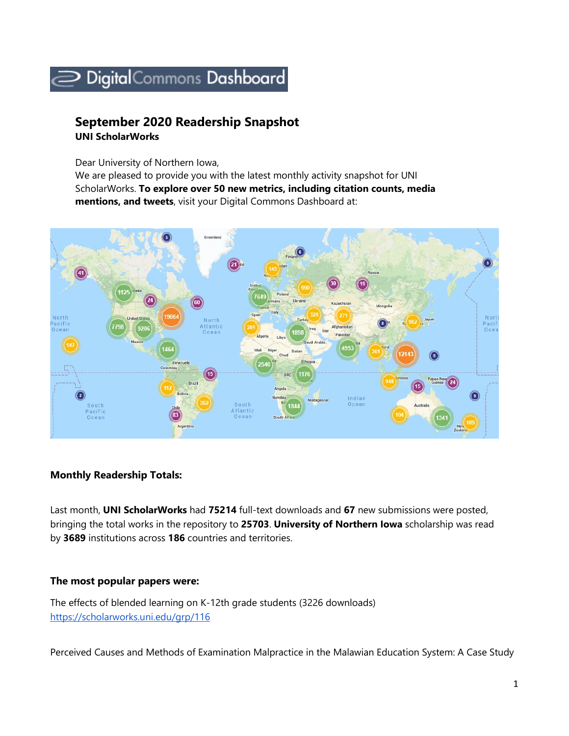# Digital Commons Dashboard

## **September 2020 Readership Snapshot**

**UNI ScholarWorks** 

Dear University of Northern Iowa,

We are pleased to provide you with the latest monthly activity snapshot for UNI ScholarWorks. **To explore over 50 new metrics, including citation counts, media mentions, and tweets**, visit your Digital Commons Dashboard at:



### **Monthly Readership Totals:**

Last month, **UNI ScholarWorks** had **75214** full-text downloads and **67** new submissions were posted, bringing the total works in the repository to **25703**. **University of Northern Iowa** scholarship was read by **3689** institutions across **186** countries and territories.

### **The most popular papers were:**

The effects of blended learning on K-12th grade students (3226 downloads) <https://scholarworks.uni.edu/grp/116>

Perceived Causes and Methods of Examination Malpractice in the Malawian Education System: A Case Study